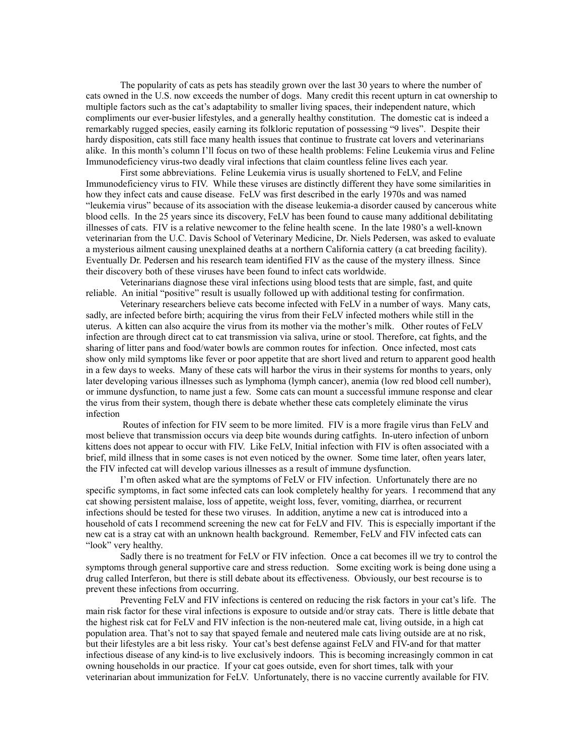The popularity of cats as pets has steadily grown over the last 30 years to where the number of cats owned in the U.S. now exceeds the number of dogs. Many credit this recent upturn in cat ownership to multiple factors such as the cat's adaptability to smaller living spaces, their independent nature, which compliments our ever-busier lifestyles, and a generally healthy constitution. The domestic cat is indeed a remarkably rugged species, easily earning its folkloric reputation of possessing "9 lives". Despite their hardy disposition, cats still face many health issues that continue to frustrate cat lovers and veterinarians alike. In this month's column I'll focus on two of these health problems: Feline Leukemia virus and Feline Immunodeficiency virus-two deadly viral infections that claim countless feline lives each year.

First some abbreviations. Feline Leukemia virus is usually shortened to FeLV, and Feline Immunodeficiency virus to FIV. While these viruses are distinctly different they have some similarities in how they infect cats and cause disease. FeLV was first described in the early 1970s and was named "leukemia virus" because of its association with the disease leukemia-a disorder caused by cancerous white blood cells. In the 25 years since its discovery, FeLV has been found to cause many additional debilitating illnesses of cats. FIV is a relative newcomer to the feline health scene. In the late 1980's a well-known veterinarian from the U.C. Davis School of Veterinary Medicine, Dr. Niels Pedersen, was asked to evaluate a mysterious ailment causing unexplained deaths at a northern California cattery (a cat breeding facility). Eventually Dr. Pedersen and his research team identified FIV as the cause of the mystery illness. Since their discovery both of these viruses have been found to infect cats worldwide.

Veterinarians diagnose these viral infections using blood tests that are simple, fast, and quite reliable. An initial "positive" result is usually followed up with additional testing for confirmation.

Veterinary researchers believe cats become infected with FeLV in a number of ways. Many cats, sadly, are infected before birth; acquiring the virus from their FeLV infected mothers while still in the uterus. A kitten can also acquire the virus from its mother via the mother's milk. Other routes of FeLV infection are through direct cat to cat transmission via saliva, urine or stool. Therefore, cat fights, and the sharing of litter pans and food/water bowls are common routes for infection. Once infected, most cats show only mild symptoms like fever or poor appetite that are short lived and return to apparent good health in a few days to weeks. Many of these cats will harbor the virus in their systems for months to years, only later developing various illnesses such as lymphoma (lymph cancer), anemia (low red blood cell number), or immune dysfunction, to name just a few. Some cats can mount a successful immune response and clear the virus from their system, though there is debate whether these cats completely eliminate the virus infection

 Routes of infection for FIV seem to be more limited. FIV is a more fragile virus than FeLV and most believe that transmission occurs via deep bite wounds during catfights. In-utero infection of unborn kittens does not appear to occur with FIV. Like FeLV, Initial infection with FIV is often associated with a brief, mild illness that in some cases is not even noticed by the owner. Some time later, often years later, the FIV infected cat will develop various illnesses as a result of immune dysfunction.

I'm often asked what are the symptoms of FeLV or FIV infection. Unfortunately there are no specific symptoms, in fact some infected cats can look completely healthy for years. I recommend that any cat showing persistent malaise, loss of appetite, weight loss, fever, vomiting, diarrhea, or recurrent infections should be tested for these two viruses. In addition, anytime a new cat is introduced into a household of cats I recommend screening the new cat for FeLV and FIV. This is especially important if the new cat is a stray cat with an unknown health background. Remember, FeLV and FIV infected cats can "look" very healthy.

Sadly there is no treatment for FeLV or FIV infection. Once a cat becomes ill we try to control the symptoms through general supportive care and stress reduction. Some exciting work is being done using a drug called Interferon, but there is still debate about its effectiveness. Obviously, our best recourse is to prevent these infections from occurring.

Preventing FeLV and FIV infections is centered on reducing the risk factors in your cat's life. The main risk factor for these viral infections is exposure to outside and/or stray cats. There is little debate that the highest risk cat for FeLV and FIV infection is the non-neutered male cat, living outside, in a high cat population area. That's not to say that spayed female and neutered male cats living outside are at no risk, but their lifestyles are a bit less risky. Your cat's best defense against FeLV and FIV-and for that matter infectious disease of any kind-is to live exclusively indoors. This is becoming increasingly common in cat owning households in our practice. If your cat goes outside, even for short times, talk with your veterinarian about immunization for FeLV. Unfortunately, there is no vaccine currently available for FIV.